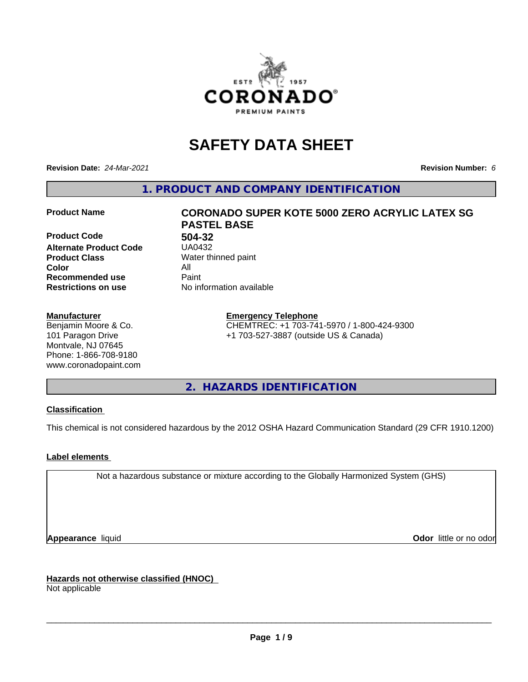

# **SAFETY DATA SHEET**

**Revision Date:** *24-Mar-2021* **Revision Number:** *6*

**1. PRODUCT AND COMPANY IDENTIFICATION**

**Product Code 61 132<br>Alternate Product Code 61 15822 Alternate Product Code Product Class** Water thinned paint<br> **Color** All **Color** All **Recommended use Caint Restrictions on use** No information available

#### **Manufacturer**

Benjamin Moore & Co. 101 Paragon Drive Montvale, NJ 07645 Phone: 1-866-708-9180 www.coronadopaint.com

# **Product Name CORONADO SUPER KOTE 5000 ZERO ACRYLIC LATEX SG PASTEL BASE**

**Emergency Telephone** CHEMTREC: +1 703-741-5970 / 1-800-424-9300 +1 703-527-3887 (outside US & Canada)

**2. HAZARDS IDENTIFICATION**

### **Classification**

This chemical is not considered hazardous by the 2012 OSHA Hazard Communication Standard (29 CFR 1910.1200)

### **Label elements**

Not a hazardous substance or mixture according to the Globally Harmonized System (GHS)

**Appearance** liquid **Contract Contract Contract Contract Contract Contract Contract Contract Contract Contract Contract Contract Contract Contract Contract Contract Contract Contract Contract Contract Contract Contract Con** 

**Hazards not otherwise classified (HNOC)**

Not applicable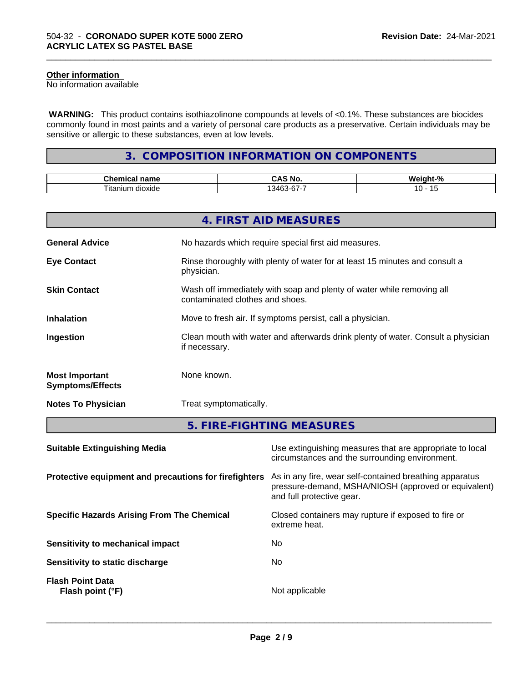# **Other information**

No information available

 **WARNING:** This product contains isothiazolinone compounds at levels of <0.1%. These substances are biocides commonly found in most paints and a variety of personal care products as a preservative. Certain individuals may be sensitive or allergic to these substances, even at low levels.

\_\_\_\_\_\_\_\_\_\_\_\_\_\_\_\_\_\_\_\_\_\_\_\_\_\_\_\_\_\_\_\_\_\_\_\_\_\_\_\_\_\_\_\_\_\_\_\_\_\_\_\_\_\_\_\_\_\_\_\_\_\_\_\_\_\_\_\_\_\_\_\_\_\_\_\_\_\_\_\_\_\_\_\_\_\_\_\_\_\_\_\_\_

# **3. COMPOSITION INFORMATION ON COMPONENTS**

| $\sim$<br>$ -$<br>…∩ame                                | ਂ Nc             | n   |
|--------------------------------------------------------|------------------|-----|
| $\sim$<br>--<br>$+nn$<br>um.<br>dioxide<br>ાાદ<br>---- | $ -$<br>ובר<br>ີ | . . |

|                                                  | 4. FIRST AID MEASURES                                                                                    |
|--------------------------------------------------|----------------------------------------------------------------------------------------------------------|
| <b>General Advice</b>                            | No hazards which require special first aid measures.                                                     |
| <b>Eye Contact</b>                               | Rinse thoroughly with plenty of water for at least 15 minutes and consult a<br>physician.                |
| <b>Skin Contact</b>                              | Wash off immediately with soap and plenty of water while removing all<br>contaminated clothes and shoes. |
| <b>Inhalation</b>                                | Move to fresh air. If symptoms persist, call a physician.                                                |
| Ingestion                                        | Clean mouth with water and afterwards drink plenty of water. Consult a physician<br>if necessary.        |
| <b>Most Important</b><br><b>Symptoms/Effects</b> | None known.                                                                                              |
| <b>Notes To Physician</b>                        | Treat symptomatically.                                                                                   |
|                                                  | 5. FIRE-FIGHTING MEASURES                                                                                |

| Use extinguishing measures that are appropriate to local<br>circumstances and the surrounding environment.                                   |
|----------------------------------------------------------------------------------------------------------------------------------------------|
| As in any fire, wear self-contained breathing apparatus<br>pressure-demand, MSHA/NIOSH (approved or equivalent)<br>and full protective gear. |
| Closed containers may rupture if exposed to fire or<br>extreme heat.                                                                         |
| No.                                                                                                                                          |
| No.                                                                                                                                          |
| Not applicable                                                                                                                               |
|                                                                                                                                              |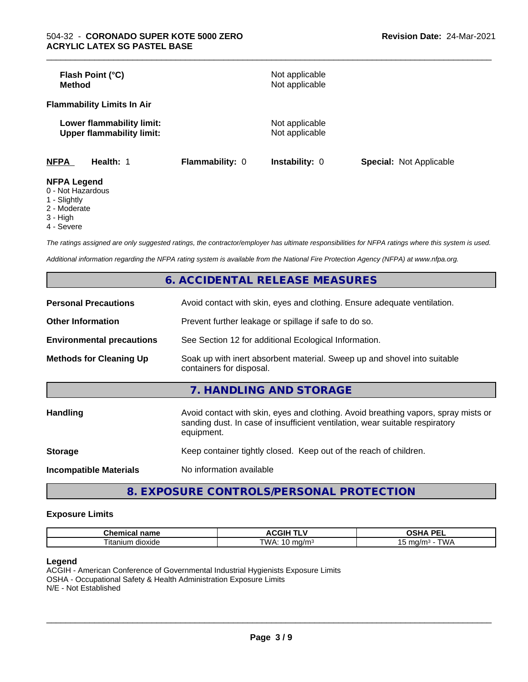| Flash Point (°C)<br>Method                                    |                 | Not applicable<br>Not applicable |                                |
|---------------------------------------------------------------|-----------------|----------------------------------|--------------------------------|
| <b>Flammability Limits In Air</b>                             |                 |                                  |                                |
| Lower flammability limit:<br><b>Upper flammability limit:</b> |                 | Not applicable<br>Not applicable |                                |
| <b>NFPA</b><br>Health: 1                                      | Flammability: 0 | Instability: 0                   | <b>Special: Not Applicable</b> |
| <b>NFPA Legend</b><br>$\bigcap$ blat line and are             |                 |                                  |                                |

\_\_\_\_\_\_\_\_\_\_\_\_\_\_\_\_\_\_\_\_\_\_\_\_\_\_\_\_\_\_\_\_\_\_\_\_\_\_\_\_\_\_\_\_\_\_\_\_\_\_\_\_\_\_\_\_\_\_\_\_\_\_\_\_\_\_\_\_\_\_\_\_\_\_\_\_\_\_\_\_\_\_\_\_\_\_\_\_\_\_\_\_\_

- 0 Not Hazardous
- 1 Slightly
- 2 Moderate
- 3 High
- 4 Severe

*The ratings assigned are only suggested ratings, the contractor/employer has ultimate responsibilities for NFPA ratings where this system is used.*

*Additional information regarding the NFPA rating system is available from the National Fire Protection Agency (NFPA) at www.nfpa.org.*

|                                  | 6. ACCIDENTAL RELEASE MEASURES                                                                                                                                                   |
|----------------------------------|----------------------------------------------------------------------------------------------------------------------------------------------------------------------------------|
| <b>Personal Precautions</b>      | Avoid contact with skin, eyes and clothing. Ensure adequate ventilation.                                                                                                         |
| <b>Other Information</b>         | Prevent further leakage or spillage if safe to do so.                                                                                                                            |
| <b>Environmental precautions</b> | See Section 12 for additional Ecological Information.                                                                                                                            |
| <b>Methods for Cleaning Up</b>   | Soak up with inert absorbent material. Sweep up and shovel into suitable<br>containers for disposal.                                                                             |
|                                  | 7. HANDLING AND STORAGE                                                                                                                                                          |
| <b>Handling</b>                  | Avoid contact with skin, eyes and clothing. Avoid breathing vapors, spray mists or<br>sanding dust. In case of insufficient ventilation, wear suitable respiratory<br>equipment. |
| <b>Storage</b>                   | Keep container tightly closed. Keep out of the reach of children.                                                                                                                |
| <b>Incompatible Materials</b>    | No information available                                                                                                                                                         |
|                                  |                                                                                                                                                                                  |

**8. EXPOSURE CONTROLS/PERSONAL PROTECTION**

#### **Exposure Limits**

| rhamia<br>$\sim$ 14.44 $\sigma$<br>⊶ne.<br>ernic<br>name | JGIH ⊺            | <b>DE</b><br>$\mathbf{r}$<br>-<br>-- |
|----------------------------------------------------------|-------------------|--------------------------------------|
| dioxide<br>, itanium                                     | TWA.<br>na/m<br>v | .<br>.<br>וטו<br>w                   |

#### **Legend**

ACGIH - American Conference of Governmental Industrial Hygienists Exposure Limits OSHA - Occupational Safety & Health Administration Exposure Limits N/E - Not Established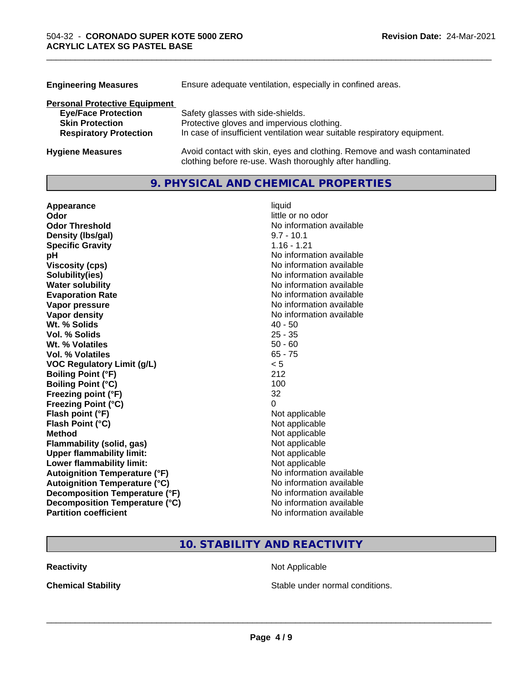| <b>Engineering Measures</b>          | Ensure adequate ventilation, especially in confined areas.                                                                          |
|--------------------------------------|-------------------------------------------------------------------------------------------------------------------------------------|
| <b>Personal Protective Equipment</b> |                                                                                                                                     |
| <b>Eye/Face Protection</b>           | Safety glasses with side-shields.                                                                                                   |
| <b>Skin Protection</b>               | Protective gloves and impervious clothing.                                                                                          |
| <b>Respiratory Protection</b>        | In case of insufficient ventilation wear suitable respiratory equipment.                                                            |
| <b>Hygiene Measures</b>              | Avoid contact with skin, eyes and clothing. Remove and wash contaminated<br>clothing before re-use. Wash thoroughly after handling. |

\_\_\_\_\_\_\_\_\_\_\_\_\_\_\_\_\_\_\_\_\_\_\_\_\_\_\_\_\_\_\_\_\_\_\_\_\_\_\_\_\_\_\_\_\_\_\_\_\_\_\_\_\_\_\_\_\_\_\_\_\_\_\_\_\_\_\_\_\_\_\_\_\_\_\_\_\_\_\_\_\_\_\_\_\_\_\_\_\_\_\_\_\_

# **9. PHYSICAL AND CHEMICAL PROPERTIES**

| Appearance                           | liquid                   |
|--------------------------------------|--------------------------|
| Odor                                 | little or no odor        |
| <b>Odor Threshold</b>                | No information available |
| Density (Ibs/gal)                    | $9.7 - 10.1$             |
| <b>Specific Gravity</b>              | $1.16 - 1.21$            |
| рH                                   | No information available |
| <b>Viscosity (cps)</b>               | No information available |
| Solubility(ies)                      | No information available |
| <b>Water solubility</b>              | No information available |
| <b>Evaporation Rate</b>              | No information available |
| Vapor pressure                       | No information available |
| Vapor density                        | No information available |
| Wt. % Solids                         | $40 - 50$                |
| Vol. % Solids                        | $25 - 35$                |
| Wt. % Volatiles                      | $50 - 60$                |
| Vol. % Volatiles                     | $65 - 75$                |
| <b>VOC Regulatory Limit (g/L)</b>    | < 5                      |
| <b>Boiling Point (°F)</b>            | 212                      |
| <b>Boiling Point (°C)</b>            | 100                      |
| Freezing point (°F)                  | 32                       |
| <b>Freezing Point (°C)</b>           | 0                        |
| Flash point (°F)                     | Not applicable           |
| Flash Point (°C)                     | Not applicable           |
| <b>Method</b>                        | Not applicable           |
| <b>Flammability (solid, gas)</b>     | Not applicable           |
| <b>Upper flammability limit:</b>     | Not applicable           |
| Lower flammability limit:            | Not applicable           |
| <b>Autoignition Temperature (°F)</b> | No information available |
| <b>Autoignition Temperature (°C)</b> | No information available |
| Decomposition Temperature (°F)       | No information available |
| Decomposition Temperature (°C)       | No information available |
| <b>Partition coefficient</b>         | No information available |

# **10. STABILITY AND REACTIVITY**

**Reactivity Not Applicable** Not Applicable

**Chemical Stability Chemical Stability** Stable under normal conditions.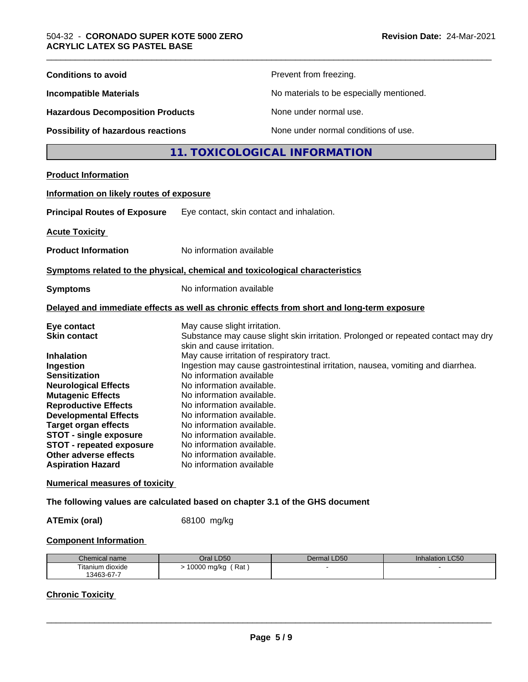| <b>Conditions to avoid</b>                                                                                                                                                                                                                                                                                                                         |                                                                                                                                                                                                                                                                                                                                                                              | Prevent from freezing.                                                                                                                                               |
|----------------------------------------------------------------------------------------------------------------------------------------------------------------------------------------------------------------------------------------------------------------------------------------------------------------------------------------------------|------------------------------------------------------------------------------------------------------------------------------------------------------------------------------------------------------------------------------------------------------------------------------------------------------------------------------------------------------------------------------|----------------------------------------------------------------------------------------------------------------------------------------------------------------------|
| <b>Incompatible Materials</b>                                                                                                                                                                                                                                                                                                                      |                                                                                                                                                                                                                                                                                                                                                                              | No materials to be especially mentioned.                                                                                                                             |
| <b>Hazardous Decomposition Products</b>                                                                                                                                                                                                                                                                                                            |                                                                                                                                                                                                                                                                                                                                                                              | None under normal use.                                                                                                                                               |
| Possibility of hazardous reactions                                                                                                                                                                                                                                                                                                                 |                                                                                                                                                                                                                                                                                                                                                                              | None under normal conditions of use.                                                                                                                                 |
|                                                                                                                                                                                                                                                                                                                                                    |                                                                                                                                                                                                                                                                                                                                                                              | 11. TOXICOLOGICAL INFORMATION                                                                                                                                        |
| <b>Product Information</b>                                                                                                                                                                                                                                                                                                                         |                                                                                                                                                                                                                                                                                                                                                                              |                                                                                                                                                                      |
| Information on likely routes of exposure                                                                                                                                                                                                                                                                                                           |                                                                                                                                                                                                                                                                                                                                                                              |                                                                                                                                                                      |
| <b>Principal Routes of Exposure</b>                                                                                                                                                                                                                                                                                                                |                                                                                                                                                                                                                                                                                                                                                                              | Eye contact, skin contact and inhalation.                                                                                                                            |
| <b>Acute Toxicity</b>                                                                                                                                                                                                                                                                                                                              |                                                                                                                                                                                                                                                                                                                                                                              |                                                                                                                                                                      |
| <b>Product Information</b>                                                                                                                                                                                                                                                                                                                         | No information available                                                                                                                                                                                                                                                                                                                                                     |                                                                                                                                                                      |
| Symptoms related to the physical, chemical and toxicological characteristics                                                                                                                                                                                                                                                                       |                                                                                                                                                                                                                                                                                                                                                                              |                                                                                                                                                                      |
| <b>Symptoms</b>                                                                                                                                                                                                                                                                                                                                    | No information available                                                                                                                                                                                                                                                                                                                                                     |                                                                                                                                                                      |
|                                                                                                                                                                                                                                                                                                                                                    |                                                                                                                                                                                                                                                                                                                                                                              | Delayed and immediate effects as well as chronic effects from short and long-term exposure                                                                           |
| Eye contact<br><b>Skin contact</b><br><b>Inhalation</b><br>Ingestion<br><b>Sensitization</b><br><b>Neurological Effects</b><br><b>Mutagenic Effects</b><br><b>Reproductive Effects</b><br><b>Developmental Effects</b><br><b>Target organ effects</b><br><b>STOT - single exposure</b><br><b>STOT - repeated exposure</b><br>Other adverse effects | May cause slight irritation.<br>skin and cause irritation.<br>May cause irritation of respiratory tract.<br>No information available<br>No information available.<br>No information available.<br>No information available.<br>No information available.<br>No information available.<br>No information available.<br>No information available.<br>No information available. | Substance may cause slight skin irritation. Prolonged or repeated contact may dry<br>Ingestion may cause gastrointestinal irritation, nausea, vomiting and diarrhea. |
| <b>Aspiration Hazard</b>                                                                                                                                                                                                                                                                                                                           | No information available                                                                                                                                                                                                                                                                                                                                                     |                                                                                                                                                                      |
| <b>Numerical measures of toxicity</b>                                                                                                                                                                                                                                                                                                              |                                                                                                                                                                                                                                                                                                                                                                              |                                                                                                                                                                      |
| The following values are calculated based on chapter 3.1 of the GHS document                                                                                                                                                                                                                                                                       |                                                                                                                                                                                                                                                                                                                                                                              |                                                                                                                                                                      |
| <b>ATEmix (oral)</b>                                                                                                                                                                                                                                                                                                                               | 68100 mg/kg                                                                                                                                                                                                                                                                                                                                                                  |                                                                                                                                                                      |

### **Component Information**

| Chemical name                       | <b>D50</b><br>)ral   | LD50<br>Dermal | LC50<br>Inhalation |
|-------------------------------------|----------------------|----------------|--------------------|
| $- \cdot$ .<br>ı dıoxıde<br>itanium | Rat<br>0000<br>mg/kg |                |                    |
| 13463-67-7                          |                      |                |                    |

# **Chronic Toxicity**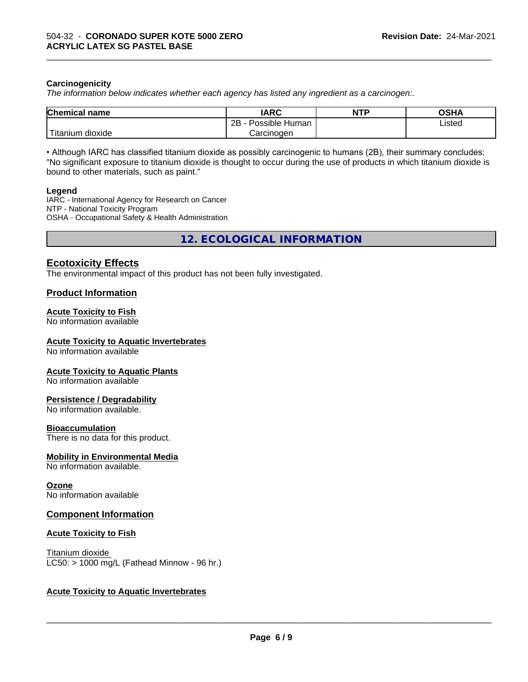#### **Carcinogenicity**

*The information below indicateswhether each agency has listed any ingredient as a carcinogen:.*

| Chemical<br>name               | <b>IARC</b>                        | <b>NTP</b> | <b>OCUM</b><br>שטש |
|--------------------------------|------------------------------------|------------|--------------------|
|                                | .<br>2R<br>Human<br>Possible<br>∠⊔ |            | ∟isted<br>.        |
| .<br>dioxide<br><b>itanium</b> | Carcinoɑen                         |            |                    |

\_\_\_\_\_\_\_\_\_\_\_\_\_\_\_\_\_\_\_\_\_\_\_\_\_\_\_\_\_\_\_\_\_\_\_\_\_\_\_\_\_\_\_\_\_\_\_\_\_\_\_\_\_\_\_\_\_\_\_\_\_\_\_\_\_\_\_\_\_\_\_\_\_\_\_\_\_\_\_\_\_\_\_\_\_\_\_\_\_\_\_\_\_

• Although IARC has classified titanium dioxide as possibly carcinogenic to humans (2B), their summary concludes: "No significant exposure to titanium dioxide is thought to occur during the use of products in which titanium dioxide is bound to other materials, such as paint."

#### **Legend**

IARC - International Agency for Research on Cancer NTP - National Toxicity Program OSHA - Occupational Safety & Health Administration

**12. ECOLOGICAL INFORMATION**

# **Ecotoxicity Effects**

The environmental impact of this product has not been fully investigated.

### **Product Information**

# **Acute Toxicity to Fish**

No information available

#### **Acute Toxicity to Aquatic Invertebrates**

No information available

#### **Acute Toxicity to Aquatic Plants**

No information available

#### **Persistence / Degradability**

No information available.

#### **Bioaccumulation**

There is no data for this product.

#### **Mobility in Environmental Media**

No information available.

#### **Ozone**

No information available

#### **Component Information**

#### **Acute Toxicity to Fish**

Titanium dioxide  $LC50:$  > 1000 mg/L (Fathead Minnow - 96 hr.)

### **Acute Toxicity to Aquatic Invertebrates**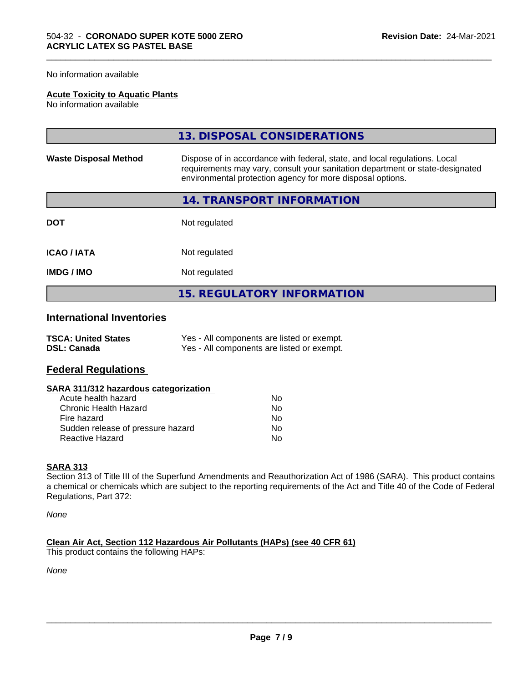No information available

#### **Acute Toxicity to Aquatic Plants**

No information available

|                              | 13. DISPOSAL CONSIDERATIONS                                                                                                                                                                                               |
|------------------------------|---------------------------------------------------------------------------------------------------------------------------------------------------------------------------------------------------------------------------|
| <b>Waste Disposal Method</b> | Dispose of in accordance with federal, state, and local regulations. Local<br>requirements may vary, consult your sanitation department or state-designated<br>environmental protection agency for more disposal options. |
|                              | 14. TRANSPORT INFORMATION                                                                                                                                                                                                 |
| <b>DOT</b>                   | Not regulated                                                                                                                                                                                                             |
| <b>ICAO/IATA</b>             | Not regulated                                                                                                                                                                                                             |
| <b>IMDG/IMO</b>              | Not regulated                                                                                                                                                                                                             |
|                              | <b>15. REGULATORY INFORMATION</b>                                                                                                                                                                                         |

\_\_\_\_\_\_\_\_\_\_\_\_\_\_\_\_\_\_\_\_\_\_\_\_\_\_\_\_\_\_\_\_\_\_\_\_\_\_\_\_\_\_\_\_\_\_\_\_\_\_\_\_\_\_\_\_\_\_\_\_\_\_\_\_\_\_\_\_\_\_\_\_\_\_\_\_\_\_\_\_\_\_\_\_\_\_\_\_\_\_\_\_\_

# **International Inventories**

| <b>TSCA: United States</b> | Yes - All components are listed or exempt. |
|----------------------------|--------------------------------------------|
| <b>DSL: Canada</b>         | Yes - All components are listed or exempt. |

# **Federal Regulations**

| SARA 311/312 hazardous categorization |  |
|---------------------------------------|--|
|---------------------------------------|--|

| Acute health hazard               | Nο |
|-----------------------------------|----|
| Chronic Health Hazard             | Nο |
| Fire hazard                       | N٥ |
| Sudden release of pressure hazard | Nο |
| Reactive Hazard                   | N٥ |

#### **SARA 313**

Section 313 of Title III of the Superfund Amendments and Reauthorization Act of 1986 (SARA). This product contains a chemical or chemicals which are subject to the reporting requirements of the Act and Title 40 of the Code of Federal Regulations, Part 372:

*None*

**Clean Air Act,Section 112 Hazardous Air Pollutants (HAPs) (see 40 CFR 61)** This product contains the following HAPs:

*None*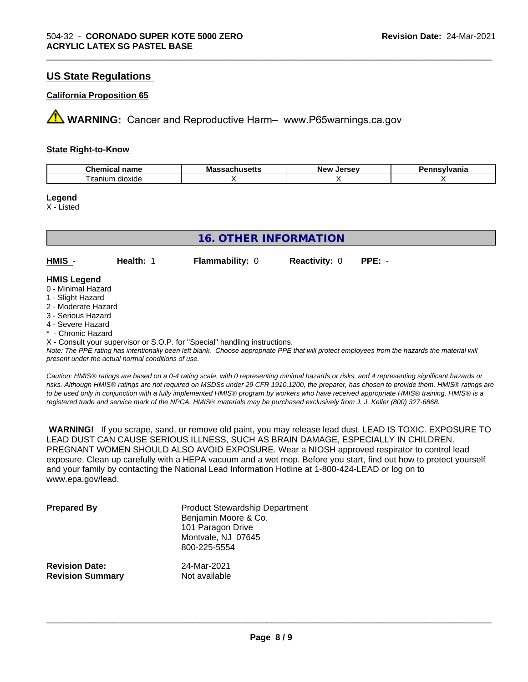# **US State Regulations**

#### **California Proposition 65**

**AVIMARNING:** Cancer and Reproductive Harm– www.P65warnings.ca.gov

#### **State Right-to-Know**

| Chemical                 | ма      | <i><u>Inrenu</u></i> | vlvania |
|--------------------------|---------|----------------------|---------|
| <b>nome</b>              | в втори | ימוח                 |         |
| name                     | nuscus  | <b>Jerse</b>         |         |
| --<br>dioxide<br>itaniun |         |                      |         |

\_\_\_\_\_\_\_\_\_\_\_\_\_\_\_\_\_\_\_\_\_\_\_\_\_\_\_\_\_\_\_\_\_\_\_\_\_\_\_\_\_\_\_\_\_\_\_\_\_\_\_\_\_\_\_\_\_\_\_\_\_\_\_\_\_\_\_\_\_\_\_\_\_\_\_\_\_\_\_\_\_\_\_\_\_\_\_\_\_\_\_\_\_

#### **Legend**

X - Listed

| <b>16. OTHER INFORMATION</b> |           |                        |                      |          |  |
|------------------------------|-----------|------------------------|----------------------|----------|--|
|                              |           |                        |                      |          |  |
| HMIS -                       | Health: 1 | <b>Flammability: 0</b> | <b>Reactivity: 0</b> | $PPE: -$ |  |
|                              |           |                        |                      |          |  |
| <b>HMIS Legend</b>           |           |                        |                      |          |  |
| 0 - Minimal Hazard           |           |                        |                      |          |  |
| 1 - Slight Hazard            |           |                        |                      |          |  |
| 2 - Moderate Hazard          |           |                        |                      |          |  |
| 3 - Serious Hazard           |           |                        |                      |          |  |
| 4 - Severe Hazard            |           |                        |                      |          |  |
| * - Chronic Hazard           |           |                        |                      |          |  |

X - Consult your supervisor or S.O.P. for "Special" handling instructions.

*Note: The PPE rating has intentionally been left blank. Choose appropriate PPE that will protect employees from the hazards the material will present under the actual normal conditions of use.*

*Caution: HMISÒ ratings are based on a 0-4 rating scale, with 0 representing minimal hazards or risks, and 4 representing significant hazards or risks. Although HMISÒ ratings are not required on MSDSs under 29 CFR 1910.1200, the preparer, has chosen to provide them. HMISÒ ratings are to be used only in conjunction with a fully implemented HMISÒ program by workers who have received appropriate HMISÒ training. HMISÒ is a registered trade and service mark of the NPCA. HMISÒ materials may be purchased exclusively from J. J. Keller (800) 327-6868.*

 **WARNING!** If you scrape, sand, or remove old paint, you may release lead dust. LEAD IS TOXIC. EXPOSURE TO LEAD DUST CAN CAUSE SERIOUS ILLNESS, SUCH AS BRAIN DAMAGE, ESPECIALLY IN CHILDREN. PREGNANT WOMEN SHOULD ALSO AVOID EXPOSURE.Wear a NIOSH approved respirator to control lead exposure. Clean up carefully with a HEPA vacuum and a wet mop. Before you start, find out how to protect yourself and your family by contacting the National Lead Information Hotline at 1-800-424-LEAD or log on to www.epa.gov/lead.

| <b>Prepared By</b>      | <b>Product Stewardship Department</b><br>Benjamin Moore & Co.<br>101 Paragon Drive<br>Montvale, NJ 07645<br>800-225-5554 |
|-------------------------|--------------------------------------------------------------------------------------------------------------------------|
| <b>Revision Date:</b>   | 24-Mar-2021                                                                                                              |
| <b>Revision Summary</b> | Not available                                                                                                            |